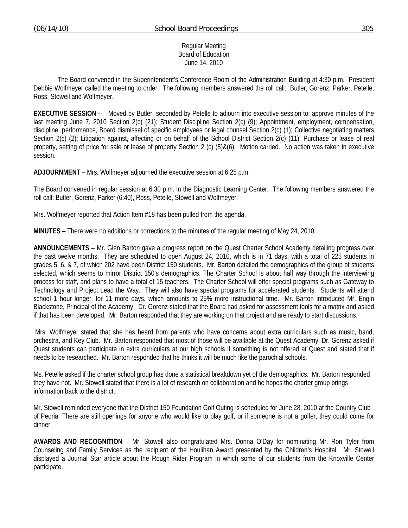Regular Meeting Board of Education June 14, 2010

 The Board convened in the Superintendent's Conference Room of the Administration Building at 4:30 p.m. President Debbie Wolfmeyer called the meeting to order. The following members answered the roll call: Butler, Gorenz, Parker, Petelle, Ross, Stowell and Wolfmeyer.

**EXECUTIVE SESSION** -- Moved by Butler, seconded by Petelle to adjourn into executive session to: approve minutes of the last meeting June 7, 2010 Section 2(c) (21); Student Discipline Section 2(c) (9); Appointment, employment, compensation, discipline, performance, Board dismissal of specific employees or legal counsel Section 2(c) (1); Collective negotiating matters Section 2(c) (2); Litigation against, affecting or on behalf of the School District Section 2(c) (11); Purchase or lease of real property, setting of price for sale or lease of property Section 2 (c) (5)&(6). Motion carried. No action was taken in executive session.

**ADJOURNMENT** – Mrs. Wolfmeyer adjourned the executive session at 6:25 p.m.

The Board convened in regular session at 6:30 p.m. in the Diagnostic Learning Center. The following members answered the roll call: Butler, Gorenz, Parker (6:40), Ross, Petelle, Stowell and Wolfmeyer.

Mrs. Wolfmeyer reported that Action Item #18 has been pulled from the agenda.

**MINUTES** – There were no additions or corrections to the minutes of the regular meeting of May 24, 2010.

**ANNOUNCEMENTS** – Mr. Glen Barton gave a progress report on the Quest Charter School Academy detailing progress over the past twelve months. They are scheduled to open August 24, 2010, which is in 71 days, with a total of 225 students in grades 5, 6, & 7, of which 202 have been District 150 students. Mr. Barton detailed the demographics of the group of students selected, which seems to mirror District 150's demographics. The Charter School is about half way through the interviewing process for staff, and plans to have a total of 15 teachers. The Charter School will offer special programs such as Gateway to Technology and Project Lead the Way. They will also have special programs for accelerated students. Students will attend school 1 hour longer, for 11 more days, which amounts to 25% more instructional time. Mr. Barton introduced Mr. Engin Blackstone, Principal of the Academy. Dr. Gorenz stated that the Board had asked for assessment tools for a matrix and asked if that has been developed. Mr. Barton responded that they are working on that project and are ready to start discussions.

 Mrs. Wolfmeyer stated that she has heard from parents who have concerns about extra curriculars such as music, band, orchestra, and Key Club. Mr. Barton responded that most of those will be available at the Quest Academy. Dr. Gorenz asked if Quest students can participate in extra curriculars at our high schools if something is not offered at Quest and stated that if needs to be researched. Mr. Barton responded that he thinks it will be much like the parochial schools.

Ms. Petelle asked if the charter school group has done a statistical breakdown yet of the demographics. Mr. Barton responded they have not. Mr. Stowell stated that there is a lot of research on collaboration and he hopes the charter group brings information back to the district.

Mr. Stowell reminded everyone that the District 150 Foundation Golf Outing is scheduled for June 28, 2010 at the Country Club of Peoria. There are still openings for anyone who would like to play golf, or if someone is not a golfer, they could come for dinner.

**AWARDS AND RECOGNITION** – Mr. Stowell also congratulated Mrs. Donna O'Day for nominating Mr. Ron Tyler from Counseling and Family Services as the recipient of the Houlihan Award presented by the Children's Hospital. Mr. Stowell displayed a Journal Star article about the Rough Rider Program in which some of our students from the Knoxville Center participate.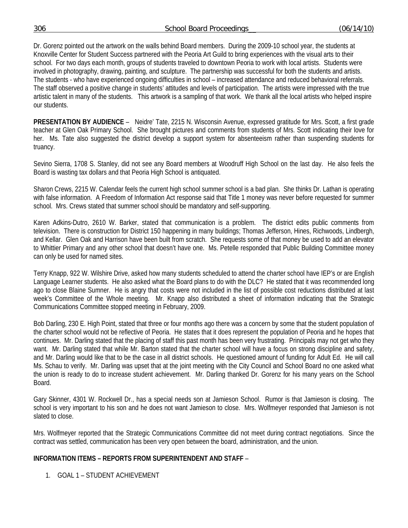306 School Board Proceedings\_\_ (06/14/10)

Dr. Gorenz pointed out the artwork on the walls behind Board members. During the 2009-10 school year, the students at Knoxville Center for Student Success partnered with the Peoria Art Guild to bring experiences with the visual arts to their school. For two days each month, groups of students traveled to downtown Peoria to work with local artists. Students were involved in photography, drawing, painting, and sculpture. The partnership was successful for both the students and artists. The students - who have experienced ongoing difficulties in school – increased attendance and reduced behavioral referrals. The staff observed a positive change in students' attitudes and levels of participation. The artists were impressed with the true artistic talent in many of the students. This artwork is a sampling of that work. We thank all the local artists who helped inspire our students.

**PRESENTATION BY AUDIENCE** – Neidre' Tate, 2215 N. Wisconsin Avenue, expressed gratitude for Mrs. Scott, a first grade teacher at Glen Oak Primary School. She brought pictures and comments from students of Mrs. Scott indicating their love for her. Ms. Tate also suggested the district develop a support system for absenteeism rather than suspending students for truancy.

Sevino Sierra, 1708 S. Stanley, did not see any Board members at Woodruff High School on the last day. He also feels the Board is wasting tax dollars and that Peoria High School is antiquated.

Sharon Crews, 2215 W. Calendar feels the current high school summer school is a bad plan. She thinks Dr. Lathan is operating with false information. A Freedom of Information Act response said that Title 1 money was never before requested for summer school. Mrs. Crews stated that summer school should be mandatory and self-supporting.

Karen Adkins-Dutro, 2610 W. Barker, stated that communication is a problem. The district edits public comments from television. There is construction for District 150 happening in many buildings; Thomas Jefferson, Hines, Richwoods, Lindbergh, and Kellar. Glen Oak and Harrison have been built from scratch. She requests some of that money be used to add an elevator to Whittier Primary and any other school that doesn't have one. Ms. Petelle responded that Public Building Committee money can only be used for named sites.

Terry Knapp, 922 W. Wilshire Drive, asked how many students scheduled to attend the charter school have IEP's or are English Language Learner students. He also asked what the Board plans to do with the DLC? He stated that it was recommended long ago to close Blaine Sumner. He is angry that costs were not included in the list of possible cost reductions distributed at last week's Committee of the Whole meeting. Mr. Knapp also distributed a sheet of information indicating that the Strategic Communications Committee stopped meeting in February, 2009.

Bob Darling, 230 E. High Point, stated that three or four months ago there was a concern by some that the student population of the charter school would not be reflective of Peoria. He states that it does represent the population of Peoria and he hopes that continues. Mr. Darling stated that the placing of staff this past month has been very frustrating. Principals may not get who they want. Mr. Darling stated that while Mr. Barton stated that the charter school will have a focus on strong discipline and safety, and Mr. Darling would like that to be the case in all district schools. He questioned amount of funding for Adult Ed. He will call Ms. Schau to verify. Mr. Darling was upset that at the joint meeting with the City Council and School Board no one asked what the union is ready to do to increase student achievement. Mr. Darling thanked Dr. Gorenz for his many years on the School Board.

Gary Skinner, 4301 W. Rockwell Dr., has a special needs son at Jamieson School. Rumor is that Jamieson is closing. The school is very important to his son and he does not want Jamieson to close. Mrs. Wolfmeyer responded that Jamieson is not slated to close.

Mrs. Wolfmeyer reported that the Strategic Communications Committee did not meet during contract negotiations. Since the contract was settled, communication has been very open between the board, administration, and the union.

# **INFORMATION ITEMS – REPORTS FROM SUPERINTENDENT AND STAFF** –

1. GOAL 1 – STUDENT ACHIEVEMENT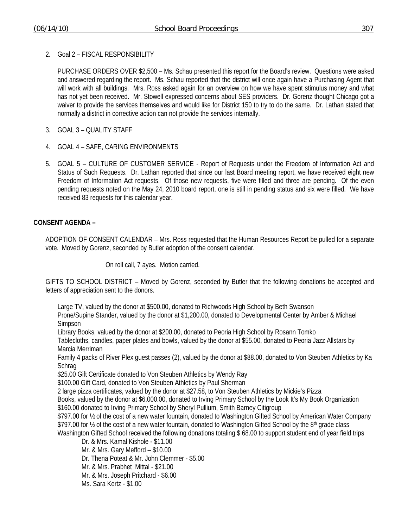2. Goal 2 – FISCAL RESPONSIBILITY

 PURCHASE ORDERS OVER \$2,500 – Ms. Schau presented this report for the Board's review. Questions were asked and answered regarding the report. Ms. Schau reported that the district will once again have a Purchasing Agent that will work with all buildings. Mrs. Ross asked again for an overview on how we have spent stimulus money and what has not yet been received. Mr. Stowell expressed concerns about SES providers. Dr. Gorenz thought Chicago got a waiver to provide the services themselves and would like for District 150 to try to do the same. Dr. Lathan stated that normally a district in corrective action can not provide the services internally.

- 3. GOAL 3 QUALITY STAFF
- 4. GOAL 4 SAFE, CARING ENVIRONMENTS
- 5. GOAL 5 CULTURE OF CUSTOMER SERVICE Report of Requests under the Freedom of Information Act and Status of Such Requests. Dr. Lathan reported that since our last Board meeting report, we have received eight new Freedom of Information Act requests. Of those new requests, five were filled and three are pending. Of the even pending requests noted on the May 24, 2010 board report, one is still in pending status and six were filled. We have received 83 requests for this calendar year.

# **CONSENT AGENDA –**

ADOPTION OF CONSENT CALENDAR – Mrs. Ross requested that the Human Resources Report be pulled for a separate vote. Moved by Gorenz, seconded by Butler adoption of the consent calendar.

On roll call, 7 ayes. Motion carried.

GIFTS TO SCHOOL DISTRICT – Moved by Gorenz, seconded by Butler that the following donations be accepted and letters of appreciation sent to the donors.

Large TV, valued by the donor at \$500.00, donated to Richwoods High School by Beth Swanson

Prone/Supine Stander, valued by the donor at \$1,200.00, donated to Developmental Center by Amber & Michael Simpson

Library Books, valued by the donor at \$200.00, donated to Peoria High School by Rosann Tomko

Tablecloths, candles, paper plates and bowls, valued by the donor at \$55.00, donated to Peoria Jazz Allstars by Marcia Merriman

Family 4 packs of River Plex guest passes (2), valued by the donor at \$88.00, donated to Von Steuben Athletics by Ka **Schrag** 

\$25.00 Gift Certificate donated to Von Steuben Athletics by Wendy Ray

\$100.00 Gift Card, donated to Von Steuben Athletics by Paul Sherman

2 large pizza certificates, valued by the donor at \$27.58, to Von Steuben Athletics by Mickie's Pizza

Books, valued by the donor at \$6,000.00, donated to Irving Primary School by the Look It's My Book Organization \$160.00 donated to Irving Primary School by Sheryl Pullium, Smith Barney Citigroup

\$797.00 for ½ of the cost of a new water fountain, donated to Washington Gifted School by American Water Company \$797.00 for  $\frac{1}{2}$  of the cost of a new water fountain, donated to Washington Gifted School by the 8<sup>th</sup> grade class

Washington Gifted School received the following donations totaling \$68.00 to support student end of year field trips Dr. & Mrs. Kamal Kishole - \$11.00

Mr. & Mrs. Gary Mefford – \$10.00

Dr. Thena Poteat & Mr. John Clemmer - \$5.00

Mr. & Mrs. Prabhet Mittal - \$21.00

Mr. & Mrs. Joseph Pritchard - \$6.00

Ms. Sara Kertz - \$1.00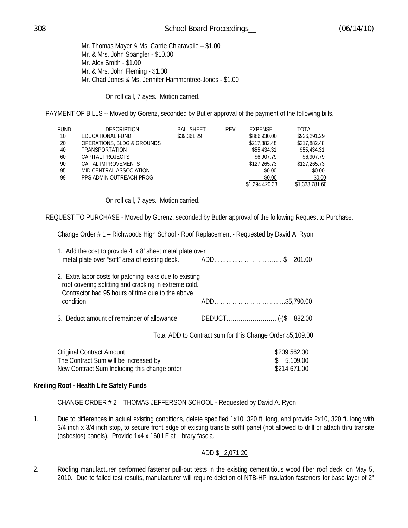Mr. Thomas Mayer & Ms. Carrie Chiaravalle – \$1.00 Mr. & Mrs. John Spangler - \$10.00 Mr. Alex Smith - \$1.00 Mr. & Mrs. John Fleming - \$1.00 Mr. Chad Jones & Ms. Jennifer Hammontree-Jones - \$1.00

On roll call, 7 ayes. Motion carried.

PAYMENT OF BILLS -- Moved by Gorenz, seconded by Butler approval of the payment of the following bills.

| <b>FUND</b> | <b>DESCRIPTION</b>         | <b>BAL, SHEET</b> | REV | EXPENSE        | <b>TOTAL</b>   |
|-------------|----------------------------|-------------------|-----|----------------|----------------|
| 10          | EDUCATIONAL FUND           | \$39,361.29       |     | \$886,930.00   | \$926,291.29   |
| 20          | OPERATIONS, BLDG & GROUNDS |                   |     | \$217,882.48   | \$217,882.48   |
| 40          | <b>TRANSPORTATION</b>      |                   |     | \$55,434.31    | \$55,434.31    |
| 60          | CAPITAL PROJECTS           |                   |     | \$6.907.79     | \$6,907.79     |
| 90          | CAITAL IMPROVEMENTS        |                   |     | \$127,265.73   | \$127,265.73   |
| 95          | MID CENTRAL ASSOCIATION    |                   |     | \$0.00         | \$0.00         |
| 99          | PPS ADMIN OUTREACH PROG    |                   |     | \$0.00         | \$0.00         |
|             |                            |                   |     | \$1,294.420.33 | \$1,333,781.60 |

On roll call, 7 ayes. Motion carried.

REQUEST TO PURCHASE - Moved by Gorenz, seconded by Butler approval of the following Request to Purchase.

Change Order # 1 – Richwoods High School - Roof Replacement - Requested by David A. Ryon

| 1. Add the cost to provide 4' x 8' sheet metal plate over<br>metal plate over "soft" area of existing deck. ADD\$                                                    |                                                            | 201.00                   |
|----------------------------------------------------------------------------------------------------------------------------------------------------------------------|------------------------------------------------------------|--------------------------|
| 2. Extra labor costs for patching leaks due to existing<br>roof covering splitting and cracking in extreme cold.<br>Contractor had 95 hours of time due to the above |                                                            |                          |
| condition.                                                                                                                                                           |                                                            |                          |
| 3. Deduct amount of remainder of allowance.                                                                                                                          |                                                            | 882.00                   |
|                                                                                                                                                                      | Total ADD to Contract sum for this Change Order \$5,109.00 |                          |
| <b>Original Contract Amount</b><br>The Contract Sum will be increased by                                                                                             |                                                            | \$209,562.00<br>5,109.00 |

# **Kreiling Roof - Health Life Safety Funds**

CHANGE ORDER # 2 – THOMAS JEFFERSON SCHOOL - Requested by David A. Ryon

New Contract Sum Including this change order  $$214,671.00$ 

1. Due to differences in actual existing conditions, delete specified 1x10, 320 ft. long, and provide 2x10, 320 ft. long with 3/4 inch x 3/4 inch stop, to secure front edge of existing transite soffit panel (not allowed to drill or attach thru transite (asbestos) panels). Provide 1x4 x 160 LF at Library fascia.

# ADD \$ 2,071.20

2. Roofing manufacturer performed fastener pull-out tests in the existing cementitious wood fiber roof deck, on May 5, 2010. Due to failed test results, manufacturer will require deletion of NTB-HP insulation fasteners for base layer of 2"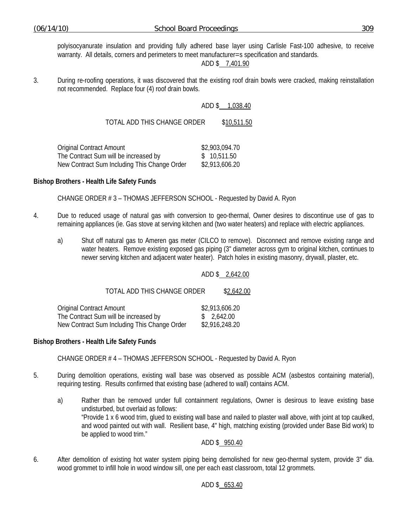polyisocyanurate insulation and providing fully adhered base layer using Carlisle Fast-100 adhesive, to receive warranty. All details, corners and perimeters to meet manufacturer=s specification and standards.

### ADD \$ 7,401.90

3. During re-roofing operations, it was discovered that the existing roof drain bowls were cracked, making reinstallation not recommended. Replace four (4) roof drain bowls.

### ADD \$ 1,038.40

TOTAL ADD THIS CHANGE ORDER \$10,511.50

| Original Contract Amount                     | \$2,903,094.70 |
|----------------------------------------------|----------------|
| The Contract Sum will be increased by        | \$ 10,511.50   |
| New Contract Sum Including This Change Order | \$2,913,606.20 |

### **Bishop Brothers - Health Life Safety Funds**

CHANGE ORDER # 3 – THOMAS JEFFERSON SCHOOL - Requested by David A. Ryon

- 4. Due to reduced usage of natural gas with conversion to geo-thermal, Owner desires to discontinue use of gas to remaining appliances (ie. Gas stove at serving kitchen and (two water heaters) and replace with electric appliances.
	- a) Shut off natural gas to Ameren gas meter (CILCO to remove). Disconnect and remove existing range and water heaters. Remove existing exposed gas piping (3" diameter across gym to original kitchen, continues to newer serving kitchen and adjacent water heater). Patch holes in existing masonry, drywall, plaster, etc.

#### ADD \$ 2,642.00

TOTAL ADD THIS CHANGE ORDER \$2,642.00 Original Contract Amount \$2,913,606.20 The Contract Sum will be increased by  $$2,642.00$ 

New Contract Sum Including This Change Order \$2,916,248.20

# **Bishop Brothers - Health Life Safety Funds**

CHANGE ORDER # 4 – THOMAS JEFFERSON SCHOOL - Requested by David A. Ryon

- 5. During demolition operations, existing wall base was observed as possible ACM (asbestos containing material), requiring testing. Results confirmed that existing base (adhered to wall) contains ACM.
	- a) Rather than be removed under full containment regulations, Owner is desirous to leave existing base undisturbed, but overlaid as follows: "Provide 1 x 6 wood trim, glued to existing wall base and nailed to plaster wall above, with joint at top caulked, and wood painted out with wall. Resilient base, 4" high, matching existing (provided under Base Bid work) to be applied to wood trim."

# ADD \$ 950.40

6. After demolition of existing hot water system piping being demolished for new geo-thermal system, provide 3" dia. wood grommet to infill hole in wood window sill, one per each east classroom, total 12 grommets.

# ADD \$ 653.40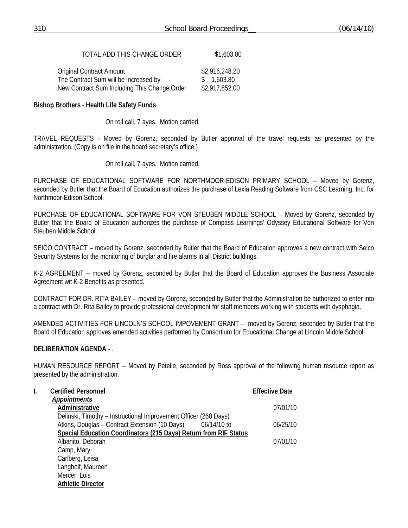### TOTAL ADD THIS CHANGE ORDER \$1,603.80

| <b>Original Contract Amount</b>              | \$2,916,248.20 |
|----------------------------------------------|----------------|
| The Contract Sum will be increased by        | \$ 1,603.80    |
| New Contract Sum Including This Change Order | \$2,917,852.00 |

### **Bishop Brothers - Health Life Safety Funds**

On roll call, 7 ayes. Motion carried.

TRAVEL REQUESTS - Moved by Gorenz, seconded by Butler approval of the travel requests as presented by the administration. (Copy is on file in the board secretary's office.)

On roll call, 7 ayes. Motion carried.

PURCHASE OF EDUCATIONAL SOFTWARE FOR NORTHMOOR-EDISON PRIMARY SCHOOL – Moved by Gorenz, seconded by Butler that the Board of Education authorizes the purchase of Lexia Reading Software from CSC Learning, Inc. for Northmoor-Edison School.

PURCHASE OF EDUCATIONAL SOFTWARE FOR VON STEUBEN MIDDLE SCHOOL – Moved by Gorenz, seconded by Butler that the Board of Education authorizes the purchase of Compass Learnings' Odyssey Educational Software for Von Steuben Middle School.

SEICO CONTRACT – moved by Gorenz, seconded by Butler that the Board of Education approves a new contract with Seico Security Systems for the monitoring of burglar and fire alarms in all District buildings.

K-2 AGREEMENT – moved by Gorenz, seconded by Butler that the Board of Education approves the Business Associate Agreement wit K-2 Benefits as presented.

CONTRACT FOR DR. RITA BAILEY – moved by Gorenz, seconded by Butler that the Administration be authorized to enter into a contract with Dr. Rita Bailey to provide professional development for staff members working with students with dysphagia.

AMENDED ACTIVITIES FOR LINCOLN'S SCHOOL IMPOVEMENT GRANT – moved by Gorenz, seconded by Butler that the Board of Education approves amended activities performed by Consortium for Educational Change at Lincoln Middle School.

# **DELIBERATION AGENDA** - .

HUMAN RESOURCE REPORT -- Moved by Petelle, seconded by Ross approval of the following human resource report as presented by the administration.

| I. | <b>Certified Personnel</b>                                       | <b>Effective Date</b> |
|----|------------------------------------------------------------------|-----------------------|
|    | <b>Appointments</b>                                              |                       |
|    | Administrative                                                   | 07/01/10              |
|    | Delinski, Timothy – Instructional Improvement Officer (260 Days) |                       |
|    | Atkins, Douglas – Contract Extension (10 Days) 06/14/10 to       | 06/25/10              |
|    | Special Education Coordinators (215 Days) Return from RIF Status |                       |
|    | Albanito, Deborah                                                | 07/01/10              |
|    | Camp, Mary                                                       |                       |
|    | Carlberg, Leisa                                                  |                       |
|    | Langholf, Maureen                                                |                       |
|    | Mercer, Lois                                                     |                       |
|    | <b>Athletic Director</b>                                         |                       |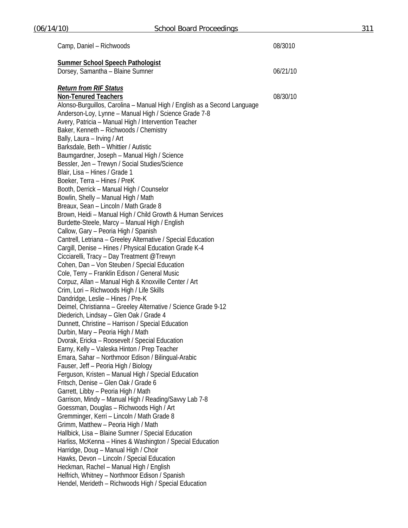| Camp, Daniel - Richwoods                                                                     | 08/3010  |
|----------------------------------------------------------------------------------------------|----------|
| <b>Summer School Speech Pathologist</b>                                                      |          |
| Dorsey, Samantha - Blaine Sumner                                                             | 06/21/10 |
| <b>Return from RIF Status</b>                                                                |          |
| <b>Non-Tenured Teachers</b>                                                                  | 08/30/10 |
| Alonso-Burguillos, Carolina - Manual High / English as a Second Language                     |          |
| Anderson-Loy, Lynne - Manual High / Science Grade 7-8                                        |          |
| Avery, Patricia - Manual High / Intervention Teacher                                         |          |
| Baker, Kenneth - Richwoods / Chemistry                                                       |          |
| Bally, Laura - Irving / Art                                                                  |          |
| Barksdale, Beth - Whittier / Autistic                                                        |          |
| Baumgardner, Joseph - Manual High / Science                                                  |          |
| Bessler, Jen - Trewyn / Social Studies/Science                                               |          |
| Blair, Lisa - Hines / Grade 1                                                                |          |
| Boeker, Terra - Hines / PreK                                                                 |          |
| Booth, Derrick - Manual High / Counselor                                                     |          |
| Bowlin, Shelly - Manual High / Math                                                          |          |
| Breaux, Sean - Lincoln / Math Grade 8                                                        |          |
| Brown, Heidi - Manual High / Child Growth & Human Services                                   |          |
| Burdette-Steele, Marcy - Manual High / English<br>Callow, Gary - Peoria High / Spanish       |          |
| Cantrell, Letriana - Greeley Alternative / Special Education                                 |          |
| Cargill, Denise - Hines / Physical Education Grade K-4                                       |          |
| Cicciarelli, Tracy - Day Treatment @Trewyn                                                   |          |
| Cohen, Dan - Von Steuben / Special Education                                                 |          |
| Cole, Terry - Franklin Edison / General Music                                                |          |
| Corpuz, Allan - Manual High & Knoxville Center / Art                                         |          |
| Crim, Lori - Richwoods High / Life Skills                                                    |          |
| Dandridge, Leslie - Hines / Pre-K                                                            |          |
| Deimel, Christianna - Greeley Alternative / Science Grade 9-12                               |          |
| Diederich, Lindsay - Glen Oak / Grade 4                                                      |          |
| Dunnett, Christine - Harrison / Special Education                                            |          |
| Durbin, Mary - Peoria High / Math                                                            |          |
| Dvorak, Ericka - Roosevelt / Special Education                                               |          |
| Earny, Kelly - Valeska Hinton / Prep Teacher                                                 |          |
| Emara, Sahar - Northmoor Edison / Bilingual-Arabic                                           |          |
| Fauser, Jeff - Peoria High / Biology                                                         |          |
| Ferguson, Kristen - Manual High / Special Education                                          |          |
| Fritsch, Denise - Glen Oak / Grade 6                                                         |          |
| Garrett, Libby - Peoria High / Math<br>Garrison, Mindy - Manual High / Reading/Savvy Lab 7-8 |          |
| Goessman, Douglas - Richwoods High / Art                                                     |          |
| Gremminger, Kerri - Lincoln / Math Grade 8                                                   |          |
| Grimm, Matthew - Peoria High / Math                                                          |          |
| Hallbick, Lisa - Blaine Sumner / Special Education                                           |          |
| Harliss, McKenna - Hines & Washington / Special Education                                    |          |
| Harridge, Doug - Manual High / Choir                                                         |          |
| Hawks, Devon - Lincoln / Special Education                                                   |          |
| Heckman, Rachel - Manual High / English                                                      |          |
| Helfrich, Whitney - Northmoor Edison / Spanish                                               |          |
| Hendel, Merideth - Richwoods High / Special Education                                        |          |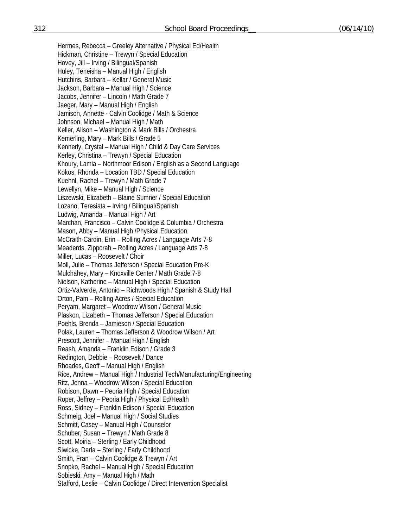Hermes, Rebecca – Greeley Alternative / Physical Ed/Health Hickman, Christine – Trewyn / Special Education Hovey, Jill – Irving / Bilingual/Spanish Huley, Teneisha – Manual High / English Hutchins, Barbara – Kellar / General Music Jackson, Barbara – Manual High / Science Jacobs, Jennifer – Lincoln / Math Grade 7 Jaeger, Mary – Manual High / English Jamison, Annette - Calvin Coolidge / Math & Science Johnson, Michael – Manual High / Math Keller, Alison – Washington & Mark Bills / Orchestra Kemerling, Mary – Mark Bills / Grade 5 Kennerly, Crystal – Manual High / Child & Day Care Services Kerley, Christina – Trewyn / Special Education Khoury, Lamia – Northmoor Edison / English as a Second Language Kokos, Rhonda – Location TBD / Special Education Kuehnl, Rachel – Trewyn / Math Grade 7 Lewellyn, Mike – Manual High / Science Liszewski, Elizabeth – Blaine Sumner / Special Education Lozano, Teresiata – Irving / Bilingual/Spanish Ludwig, Amanda – Manual High / Art Marchan, Francisco – Calvin Coolidge & Columbia / Orchestra Mason, Abby – Manual High /Physical Education McCraith-Cardin, Erin – Rolling Acres / Language Arts 7-8 Meaderds, Zipporah – Rolling Acres / Language Arts 7-8 Miller, Lucas – Roosevelt / Choir Moll, Julie – Thomas Jefferson / Special Education Pre-K Mulchahey, Mary – Knoxville Center / Math Grade 7-8 Nielson, Katherine – Manual High / Special Education Ortiz-Valverde, Antonio – Richwoods High / Spanish & Study Hall Orton, Pam – Rolling Acres / Special Education Peryam, Margaret – Woodrow Wilson / General Music Plaskon, Lizabeth – Thomas Jefferson / Special Education Poehls, Brenda – Jamieson / Special Education Polak, Lauren – Thomas Jefferson & Woodrow Wilson / Art Prescott, Jennifer – Manual High / English Reash, Amanda – Franklin Edison / Grade 3 Redington, Debbie – Roosevelt / Dance Rhoades, Geoff – Manual High / English Rice, Andrew – Manual High / Industrial Tech/Manufacturing/Engineering Ritz, Jenna – Woodrow Wilson / Special Education Robison, Dawn – Peoria High / Special Education Roper, Jeffrey – Peoria High / Physical Ed/Health Ross, Sidney – Franklin Edison / Special Education Schmeig, Joel – Manual High / Social Studies Schmitt, Casey – Manual High / Counselor Schuber, Susan – Trewyn / Math Grade 8 Scott, Moiria – Sterling / Early Childhood Siwicke, Darla – Sterling / Early Childhood Smith, Fran – Calvin Coolidge & Trewyn / Art Snopko, Rachel – Manual High / Special Education Sobieski, Amy – Manual High / Math Stafford, Leslie – Calvin Coolidge / Direct Intervention Specialist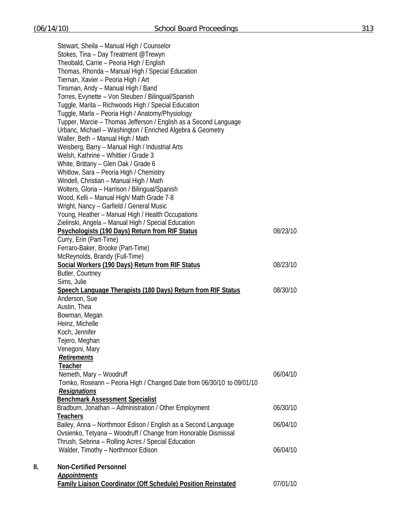Stewart, Sheila – Manual High / Counselor Stokes, Tina – Day Treatment @Trewyn Theobald, Carrie – Peoria High / English Thomas, Rhonda – Manual High / Special Education Tiernan, Xavier – Peoria High / Art Tinsman, Andy – Manual High / Band Torres, Evynette – Von Steuben / Bilingual/Spanish Tuggle, Marita – Richwoods High / Special Education Tuggle, Marla – Peoria High / Anatomy/Physiology Tupper, Marcie – Thomas Jefferson / English as a Second Language Urbanc, Michael – Washington / Enriched Algebra & Geometry Waller, Beth – Manual High / Math Weisberg, Barry – Manual High / Industrial Arts Welsh, Kathrine – Whittier / Grade 3 White, Brittany – Glen Oak / Grade 6 Whitlow, Sara – Peoria High / Chemistry Windell, Christian – Manual High / Math Wolters, Gloria – Harrison / Bilingual/Spanish Wood, Kelli – Manual High/ Math Grade 7-8 Wright, Nancy – Garfield / General Music Young, Heather – Manual High / Health Occupations Zielinski, Angela – Manual High / Special Education **Psychologists (190 Days) Return from RIF Status** 08/23/10 Curry, Erin (Part-Time) Ferraro-Baker, Brooke (Part-Time) McReynolds, Brandy (Full-Time) **Social Workers (190 Days) Return from RIF Status** 08/23/10 Butler, Courtney Sims, Julie **Speech Language Therapists (180 Days) Return from RIF Status** 08/30/10 Anderson, Sue Austin, Thea Bowman, Megan Heinz, Michelle Koch, Jennifer Tejero, Meghan Venegoni, Mary  *Retirements* **Teacher**  Nemeth, Mary – Woodruff and the control of the control of the 06/04/10 Tomko, Roseann – Peoria High / Changed Date from 06/30/10 to 09/01/10 *Resignations* **Benchmark Assessment Specialist** Bradburn, Jonathan – Administration / Other Employment 06/30/10 **Teachers** Bailey, Anna – Northmoor Edison / English as a Second Language 06/04/10 Ovsienko, Tetyana – Woodruff / Change from Honorable Dismissal Thrush, Sebrina – Rolling Acres / Special Education Walder, Timothy – Northmoor Edison **06/04/10 II. Non-Certified Personnel**  *Appointments*

**Family Liaison Coordinator (Off Schedule) Position Reinstated** 07/01/10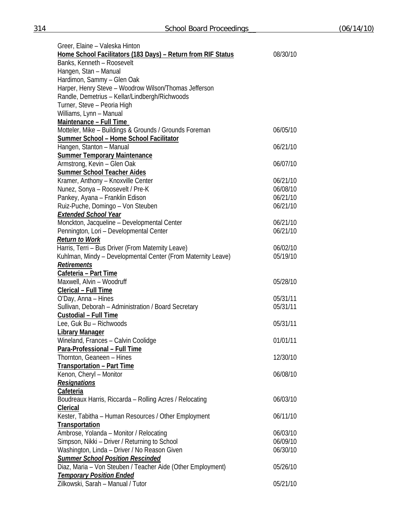| Greer, Elaine - Valeska Hinton                               |          |
|--------------------------------------------------------------|----------|
| Home School Facilitators (183 Days) - Return from RIF Status | 08/30/10 |
| Banks, Kenneth - Roosevelt                                   |          |
| Hangen, Stan - Manual                                        |          |
| Hardimon, Sammy - Glen Oak                                   |          |
| Harper, Henry Steve - Woodrow Wilson/Thomas Jefferson        |          |
| Randle, Demetrius - Kellar/Lindbergh/Richwoods               |          |
| Turner, Steve - Peoria High                                  |          |
| Williams, Lynn - Manual                                      |          |
| Maintenance - Full Time                                      |          |
| Motteler, Mike - Buildings & Grounds / Grounds Foreman       | 06/05/10 |
| Summer School - Home School Facilitator                      |          |
| Hangen, Stanton - Manual                                     | 06/21/10 |
| <b>Summer Temporary Maintenance</b>                          |          |
| Armstrong, Kevin - Glen Oak                                  | 06/07/10 |
| Summer School Teacher Aides                                  |          |
| Kramer, Anthony - Knoxville Center                           | 06/21/10 |
| Nunez, Sonya - Roosevelt / Pre-K                             | 06/08/10 |
| Pankey, Ayana - Franklin Edison                              | 06/21/10 |
| Ruiz-Puche, Domingo - Von Steuben                            | 06/21/10 |
| <b>Extended School Year</b>                                  |          |
| Monckton, Jacqueline - Developmental Center                  | 06/21/10 |
| Pennington, Lori - Developmental Center                      | 06/21/10 |
| <b>Return to Work</b>                                        |          |
| Harris, Terri - Bus Driver (From Maternity Leave)            | 06/02/10 |
| Kuhlman, Mindy - Developmental Center (From Maternity Leave) | 05/19/10 |
| Retirements                                                  |          |
| Cafeteria - Part Time                                        |          |
| Maxwell, Alvin - Woodruff                                    | 05/28/10 |
| Clerical - Full Time                                         |          |
| O'Day, Anna - Hines                                          | 05/31/11 |
| Sullivan, Deborah - Administration / Board Secretary         | 05/31/11 |
| Custodial - Full Time                                        |          |
| Lee, Guk Bu - Richwoods                                      | 05/31/11 |
| <b>Library Manager</b>                                       |          |
| Wineland, Frances - Calvin Coolidge                          | 01/01/11 |
| Para-Professional - Full Time                                |          |
| Thornton, Geaneen - Hines                                    | 12/30/10 |
| <b>Transportation - Part Time</b>                            |          |
| Kenon, Cheryl - Monitor                                      | 06/08/10 |
| <b>Resignations</b>                                          |          |
| Cafeteria                                                    |          |
| Boudreaux Harris, Riccarda - Rolling Acres / Relocating      | 06/03/10 |
| Clerical                                                     |          |
| Kester, Tabitha - Human Resources / Other Employment         | 06/11/10 |
| Transportation                                               |          |
| Ambrose, Yolanda - Monitor / Relocating                      | 06/03/10 |
| Simpson, Nikki - Driver / Returning to School                | 06/09/10 |
| Washington, Linda - Driver / No Reason Given                 | 06/30/10 |
| <b>Summer School Position Rescinded</b>                      |          |
| Diaz, Maria - Von Steuben / Teacher Aide (Other Employment)  | 05/26/10 |
| <b>Temporary Position Ended</b>                              |          |
| Zilkowski, Sarah - Manual / Tutor                            | 05/21/10 |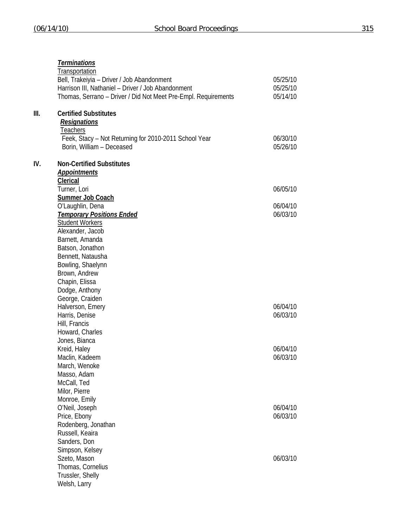| Thomas, Serrano - Driver / Did Not Meet Pre-Empl. Requirements<br>III.<br><b>Certified Substitutes</b><br><b>Resignations</b><br><b>Teachers</b><br>Feek, Stacy - Not Returning for 2010-2011 School Year<br>Borin, William - Deceased<br>IV.<br><b>Non-Certified Substitutes</b> | 05/14/10<br>06/30/10<br>05/26/10<br>06/05/10<br>06/04/10<br>06/03/10 |
|-----------------------------------------------------------------------------------------------------------------------------------------------------------------------------------------------------------------------------------------------------------------------------------|----------------------------------------------------------------------|
|                                                                                                                                                                                                                                                                                   |                                                                      |
|                                                                                                                                                                                                                                                                                   |                                                                      |
|                                                                                                                                                                                                                                                                                   |                                                                      |
| <b>Appointments</b>                                                                                                                                                                                                                                                               |                                                                      |
| <b>Clerical</b>                                                                                                                                                                                                                                                                   |                                                                      |
| Turner, Lori<br><b>Summer Job Coach</b>                                                                                                                                                                                                                                           |                                                                      |
| O'Laughlin, Dena                                                                                                                                                                                                                                                                  |                                                                      |
| <b>Temporary Positions Ended</b>                                                                                                                                                                                                                                                  |                                                                      |
| <b>Student Workers</b>                                                                                                                                                                                                                                                            |                                                                      |
| Alexander, Jacob                                                                                                                                                                                                                                                                  |                                                                      |
| Barnett, Amanda                                                                                                                                                                                                                                                                   |                                                                      |
| Batson, Jonathon                                                                                                                                                                                                                                                                  |                                                                      |
| Bennett, Natausha                                                                                                                                                                                                                                                                 |                                                                      |
| Bowling, Shaelynn                                                                                                                                                                                                                                                                 |                                                                      |
| Brown, Andrew                                                                                                                                                                                                                                                                     |                                                                      |
| Chapin, Elissa                                                                                                                                                                                                                                                                    |                                                                      |
| Dodge, Anthony                                                                                                                                                                                                                                                                    |                                                                      |
| George, Craiden                                                                                                                                                                                                                                                                   |                                                                      |
| Halverson, Emery                                                                                                                                                                                                                                                                  | 06/04/10                                                             |
| Harris, Denise                                                                                                                                                                                                                                                                    | 06/03/10                                                             |
| Hill, Francis                                                                                                                                                                                                                                                                     |                                                                      |
| Howard, Charles                                                                                                                                                                                                                                                                   |                                                                      |
| Jones, Bianca                                                                                                                                                                                                                                                                     |                                                                      |
| Kreid, Haley                                                                                                                                                                                                                                                                      | 06/04/10<br>06/03/10                                                 |
| Maclin, Kadeem<br>March, Wenoke                                                                                                                                                                                                                                                   |                                                                      |
| Masso, Adam                                                                                                                                                                                                                                                                       |                                                                      |
| McCall, Ted                                                                                                                                                                                                                                                                       |                                                                      |
| Milor, Pierre                                                                                                                                                                                                                                                                     |                                                                      |
| Monroe, Emily                                                                                                                                                                                                                                                                     |                                                                      |
| O'Neil, Joseph                                                                                                                                                                                                                                                                    | 06/04/10                                                             |
| Price, Ebony                                                                                                                                                                                                                                                                      | 06/03/10                                                             |
| Rodenberg, Jonathan                                                                                                                                                                                                                                                               |                                                                      |
| Russell, Keaira                                                                                                                                                                                                                                                                   |                                                                      |
| Sanders, Don                                                                                                                                                                                                                                                                      |                                                                      |
| Simpson, Kelsey                                                                                                                                                                                                                                                                   |                                                                      |
| Szeto, Mason                                                                                                                                                                                                                                                                      | 06/03/10                                                             |
| Thomas, Cornelius                                                                                                                                                                                                                                                                 |                                                                      |
| Trussler, Shelly                                                                                                                                                                                                                                                                  |                                                                      |
| Welsh, Larry                                                                                                                                                                                                                                                                      |                                                                      |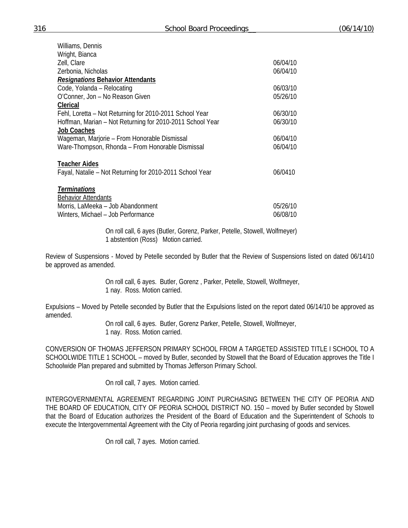| Williams, Dennis                                          |          |
|-----------------------------------------------------------|----------|
| Wright, Bianca                                            |          |
| Zell, Clare                                               | 06/04/10 |
| Zerbonia, Nicholas                                        | 06/04/10 |
| <b>Resignations Behavior Attendants</b>                   |          |
| Code, Yolanda - Relocating                                | 06/03/10 |
| O'Conner, Jon - No Reason Given                           | 05/26/10 |
| Clerical                                                  |          |
| Fehl, Loretta – Not Returning for 2010-2011 School Year   | 06/30/10 |
| Hoffman, Marian - Not Returning for 2010-2011 School Year | 06/30/10 |
| <b>Job Coaches</b>                                        |          |
| Wageman, Marjorie - From Honorable Dismissal              | 06/04/10 |
| Ware-Thompson, Rhonda - From Honorable Dismissal          | 06/04/10 |
|                                                           |          |
| <b>Teacher Aides</b>                                      |          |
| Fayal, Natalie – Not Returning for 2010-2011 School Year  | 06/0410  |
|                                                           |          |
| <b>Terminations</b>                                       |          |
| <b>Behavior Attendants</b>                                |          |
| Morris, LaMeeka - Job Abandonment                         | 05/26/10 |
| Winters, Michael - Job Performance                        | 06/08/10 |
|                                                           |          |

 On roll call, 6 ayes (Butler, Gorenz, Parker, Petelle, Stowell, Wolfmeyer) 1 abstention (Ross) Motion carried.

Review of Suspensions - Moved by Petelle seconded by Butler that the Review of Suspensions listed on dated 06/14/10 be approved as amended.

> On roll call, 6 ayes. Butler, Gorenz , Parker, Petelle, Stowell, Wolfmeyer, 1 nay. Ross. Motion carried.

Expulsions – Moved by Petelle seconded by Butler that the Expulsions listed on the report dated 06/14/10 be approved as amended.

 On roll call, 6 ayes. Butler, Gorenz Parker, Petelle, Stowell, Wolfmeyer, 1 nay. Ross. Motion carried.

CONVERSION OF THOMAS JEFFERSON PRIMARY SCHOOL FROM A TARGETED ASSISTED TITLE I SCHOOL TO A SCHOOLWIDE TITLE 1 SCHOOL – moved by Butler, seconded by Stowell that the Board of Education approves the Title I Schoolwide Plan prepared and submitted by Thomas Jefferson Primary School.

On roll call, 7 ayes. Motion carried.

INTERGOVERNMENTAL AGREEMENT REGARDING JOINT PURCHASING BETWEEN THE CITY OF PEORIA AND THE BOARD OF EDUCATION, CITY OF PEORIA SCHOOL DISTRICT NO. 150 – moved by Butler seconded by Stowell that the Board of Education authorizes the President of the Board of Education and the Superintendent of Schools to execute the Intergovernmental Agreement with the City of Peoria regarding joint purchasing of goods and services.

On roll call, 7 ayes. Motion carried.